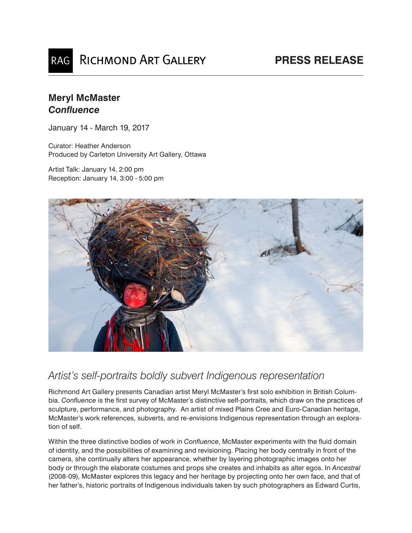## RAG RICHMOND ART GALLERY

## **Meryl McMaster** *Confluence*

January 14 - March 19, 2017

Curator: Heather Anderson Produced by Carleton University Art Gallery, Ottawa

Artist Talk: January 14, 2:00 pm Reception: January 14, 3:00 - 5:00 pm



## *Artist's self-portraits boldly subvert Indigenous representation*

Richmond Art Gallery presents Canadian artist Meryl McMaster's first solo exhibition in British Columbia. *Confluence* is the first survey of McMaster's distinctive self-portraits, which draw on the practices of sculpture, performance, and photography. An artist of mixed Plains Cree and Euro-Canadian heritage, McMaster's work references, subverts, and re-envisions Indigenous representation through an exploration of self.

Within the three distinctive bodies of work in *Confluence*, McMaster experiments with the fluid domain of identity, and the possibilities of examining and revisioning. Placing her body centrally in front of the camera, she continually alters her appearance, whether by layering photographic images onto her body or through the elaborate costumes and props she creates and inhabits as alter egos. In *Ancestral* (2008-09), McMaster explores this legacy and her heritage by projecting onto her own face, and that of her father's, historic portraits of Indigenous individuals taken by such photographers as Edward Curtis,